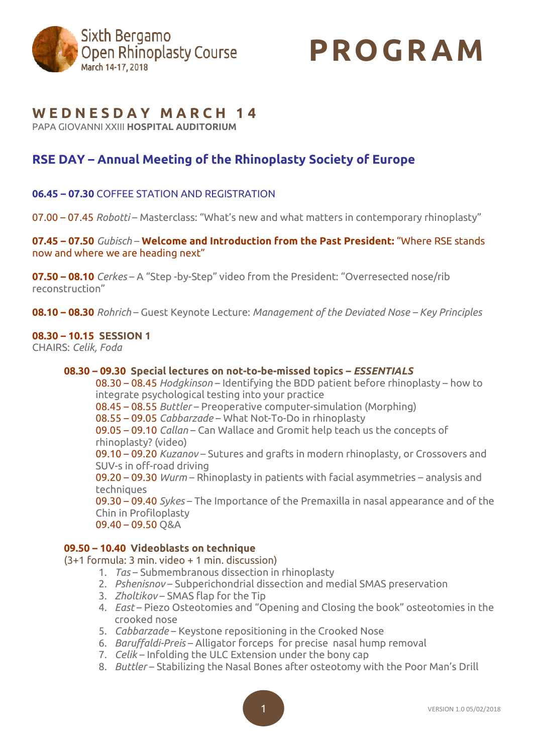

# **PROGR AM**

# **W E D N E S D A Y M A R C H 1 4**

PAPA GIOVANNI XXIII **HOSPITAL AUDITORIUM**

# **RSE DAY – Annual Meeting of the Rhinoplasty Society of Europe**

# **06.45 – 07.30** COFFEE STATION AND REGISTRATION

07.00 – 07.45 *Robotti* – Masterclass: "What's new and what matters in contemporary rhinoplasty"

**07.45 – 07.50** *Gubisch* – **Welcome and Introduction from the Past President:** "Where RSE stands now and where we are heading next"

**07.50 – 08.10** *Cerkes* – A "Step -by-Step" video from the President: "Overresected nose/rib reconstruction"

**08.10 – 08.30** *Rohrich* – Guest Keynote Lecture: *Management of the Deviated Nose – Key Principles*

### **08.30 – 10.15 SESSION 1**

CHAIRS: *Celik, Foda*

#### **08.30 – 09.30 Special lectures on not-to-be-missed topics –** *ESSENTIALS*

08.30 – 08.45 *Hodgkinson* – Identifying the BDD patient before rhinoplasty – how to integrate psychological testing into your practice

08.45 – 08.55 *Buttler* – Preoperative computer-simulation (Morphing)

08.55 – 09.05 *Cabbarzade* – What Not-To-Do in rhinoplasty

09.05 – 09.10 *Callan* – Can Wallace and Gromit help teach us the concepts of rhinoplasty? (video)

09.10 – 09.20 *Kuzanov* – Sutures and grafts in modern rhinoplasty, or Crossovers and SUV-s in off-road driving

09.20 – 09.30 *Wurm* – Rhinoplasty in patients with facial asymmetries – analysis and techniques

09.30 – 09.40 *Sykes* – The Importance of the Premaxilla in nasal appearance and of the Chin in Profiloplasty

```
09.40 – 09.50 Q&A
```
# **09.50 – 10.40 Videoblasts on technique**

(3+1 formula: 3 min. video + 1 min. discussion)

- 1. *Tas* Submembranous dissection in rhinoplasty
- 2. *Pshenisnov* Subperichondrial dissection and medial SMAS preservation
- 3. *Zholtikov* SMAS flap for the Tip
- 4. *East* Piezo Osteotomies and "Opening and Closing the book" osteotomies in the crooked nose
- 5. *Cabbarzade* Keystone repositioning in the Crooked Nose
- 6. *Baruffaldi-Preis* Alligator forceps for precise nasal hump removal
- 7. *Celik* Infolding the ULC Extension under the bony cap
- 8. *Buttler* Stabilizing the Nasal Bones after osteotomy with the Poor Man's Drill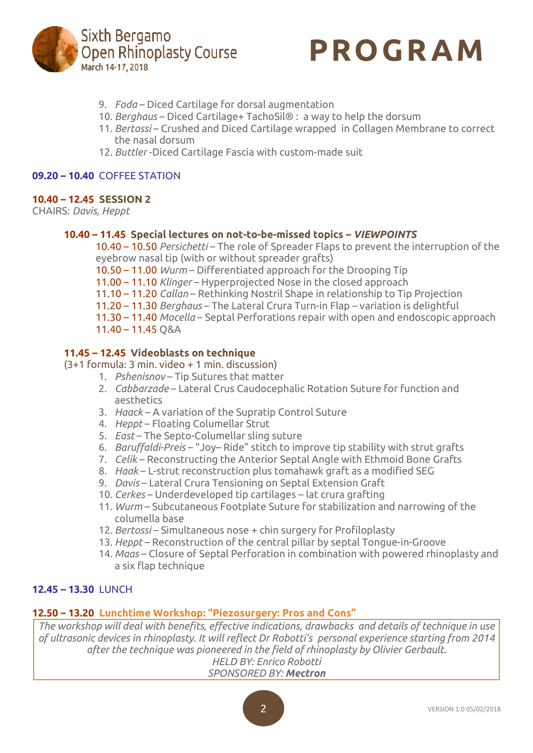



- 9. *Foda* Diced Cartilage for dorsal augmentation
- 10. *Berghaus* Diced Cartilage+ TachoSil® : a way to help the dorsum
- 11. *Bertossi* Crushed and Diced Cartilage wrapped in Collagen Membrane to correct the nasal dorsum
- 12. *Buttler* -Diced Cartilage Fascia with custom-made suit

#### **09.20 – 10.40** COFFEE STATION

#### **10.40 – 12.45 SESSION 2**

CHAIRS: *Davis, Heppt*

#### **10.40 – 11.45 Special lectures on not-to-be-missed topics –** *VIEWPOINTS*

10.40 – 10.50 *Persichetti* – The role of Spreader Flaps to prevent the interruption of the eyebrow nasal tip (with or without spreader grafts)

10.50 – 11.00 *Wurm* – Differentiated approach for the Drooping Tip

11.00 – 11.10 *Klinger* – Hyperprojected Nose in the closed approach

11.10 – 11.20 *Callan* – Rethinking Nostril Shape in relationship to Tip Projection

11.20 – 11.30 *Berghaus* – The Lateral Crura Turn-in Flap – variation is delightful

11.30 – 11.40 *Mocella* – Septal Perforations repair with open and endoscopic approach 11.40 – 11.45 Q&A

# **11.45 – 12.45 Videoblasts on technique**

(3+1 formula: 3 min. video + 1 min. discussion)

- 1. *Pshenisnov* Tip Sutures that matter
- 2. *Cabbarzade* Lateral Crus Caudocephalic Rotation Suture for function and aesthetics
- 3. *Haack* A variation of the Supratip Control Suture
- 4. *Heppt* Floating Columellar Strut
- 5. *East* The Septo-Columellar sling suture
- 6. *Baruffaldi-Preis* "Joy– Ride" stitch to improve tip stability with strut grafts
- 7. *Celik* Reconstructing the Anterior Septal Angle with Ethmoid Bone Grafts
- 8. *Haak* L-strut reconstruction plus tomahawk graft as a modified SEG
- 9. *Davis* Lateral Crura Tensioning on Septal Extension Graft
- 10. *Cerkes* Underdeveloped tip cartilages lat crura grafting
- 11. *Wurm* Subcutaneous Footplate Suture for stabilization and narrowing of the columella base
- 12. *Bertossi* Simultaneous nose + chin surgery for Profiloplasty
- 13. *Heppt* Reconstruction of the central pillar by septal Tongue-in-Groove
- 14. *Maas* Closure of Septal Perforation in combination with powered rhinoplasty and a six flap technique

# **12.45 – 13.30** LUNCH

# **12.50 – 13.20 Lunchtime Workshop: "Piezosurgery: Pros and Cons"**

*The workshop will deal with benefits, effective indications, drawbacks and details of technique in use of ultrasonic devices in rhinoplasty. It will reflect Dr Robotti's personal experience starting from 2014 after the technique was pioneered in the field of rhinoplasty by Olivier Gerbault. HELD BY: Enrico Robotti*

*SPONSORED BY: Mectron*